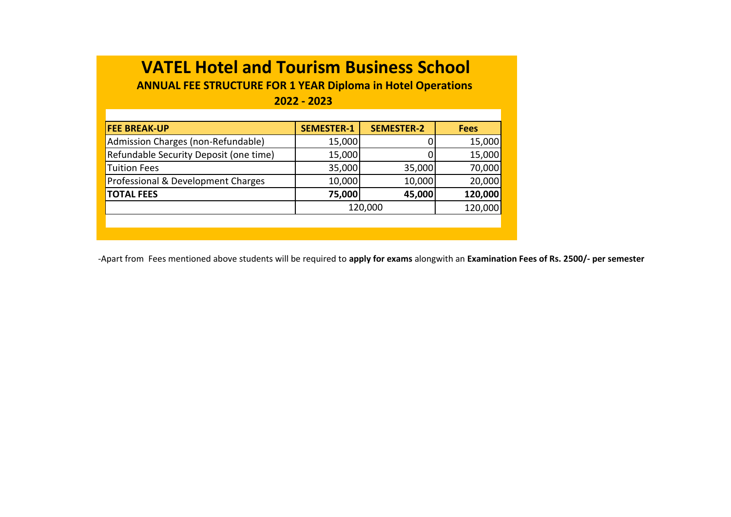**ANNUAL FEE STRUCTURE FOR 1 YEAR Diploma in Hotel Operations** 

**2022 - 2023**

| <b>FEE BREAK-UP</b>                    | <b>SEMESTER-1</b> | <b>SEMESTER-2</b> | <b>Fees</b> |
|----------------------------------------|-------------------|-------------------|-------------|
| Admission Charges (non-Refundable)     | 15,000            |                   | 15,000      |
| Refundable Security Deposit (one time) | 15,000            |                   | 15,000      |
| Tuition Fees                           | 35,000            | 35,000            | 70,000      |
| Professional & Development Charges     | 10,000            | 10,000            | 20,000      |
| <b>TOTAL FEES</b>                      | 75,000            | 45,000            | 120,000     |
|                                        | 120,000           | 120,000           |             |
|                                        |                   |                   |             |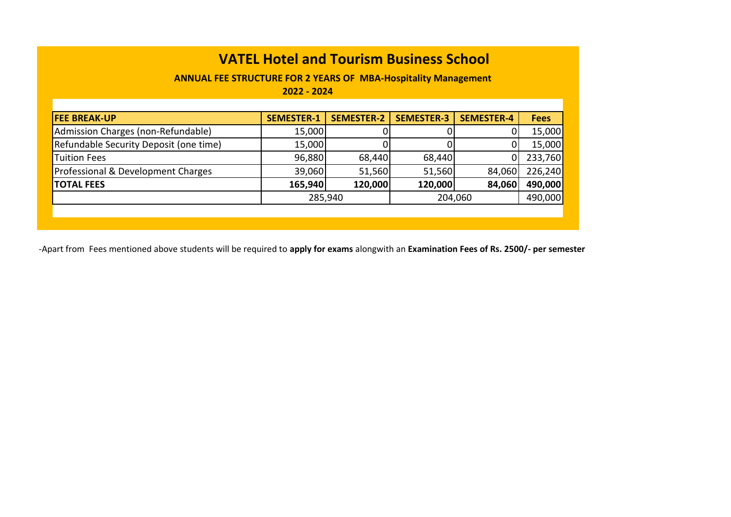**ANNUAL FEE STRUCTURE FOR 2 YEARS OF MBA-Hospitality Management** 

**2022 - 2024**

| <b>FEE BREAK-UP</b>                    | <b>SEMESTER-1</b> | <b>SEMESTER-2</b> | <b>SEMESTER-3</b> | <b>SEMESTER-4</b> | <b>Fees</b> |
|----------------------------------------|-------------------|-------------------|-------------------|-------------------|-------------|
| Admission Charges (non-Refundable)     | 15,000            |                   |                   |                   | 15,000      |
| Refundable Security Deposit (one time) | 15,000            |                   |                   |                   | 15,000      |
| <b>Tuition Fees</b>                    | 96,880            | 68,440            | 68,440            |                   | 233,760     |
| Professional & Development Charges     | 39,060            | 51,560            | 51,560            | 84,060            | 226,240     |
| <b>TOTAL FEES</b>                      | 165,940           | 120,000           | 120,000           | 84,060            | 490,000     |
|                                        | 285,940           |                   | 204,060           | 490,000           |             |
|                                        |                   |                   |                   |                   |             |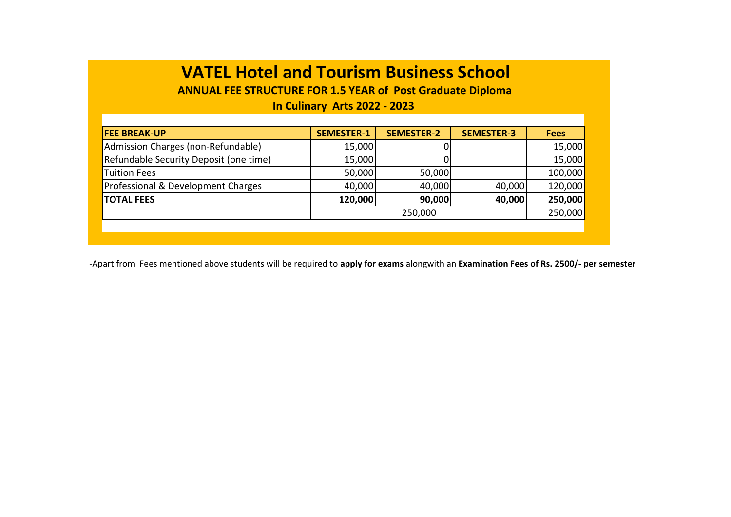**ANNUAL FEE STRUCTURE FOR 1.5 YEAR of Post Graduate Diploma** 

#### **In Culinary Arts 2022 - 2023**

| <b>FEE BREAK-UP</b>                    | <b>SEMESTER-1</b> | <b>SEMESTER-2</b> | <b>SEMESTER-3</b> | <b>Fees</b> |
|----------------------------------------|-------------------|-------------------|-------------------|-------------|
| Admission Charges (non-Refundable)     | 15,000            |                   |                   | 15,000      |
| Refundable Security Deposit (one time) | 15,000            |                   |                   | 15,000      |
| <b>Tuition Fees</b>                    | 50,000            | 50,000            |                   | 100,000     |
| Professional & Development Charges     | 40,000            | 40,000            | 40,000            | 120,000     |
| <b>TOTAL FEES</b>                      | 120,000           | 90,000            | 40,000            | 250,000     |
|                                        |                   | 250,000           |                   |             |
|                                        |                   |                   |                   |             |